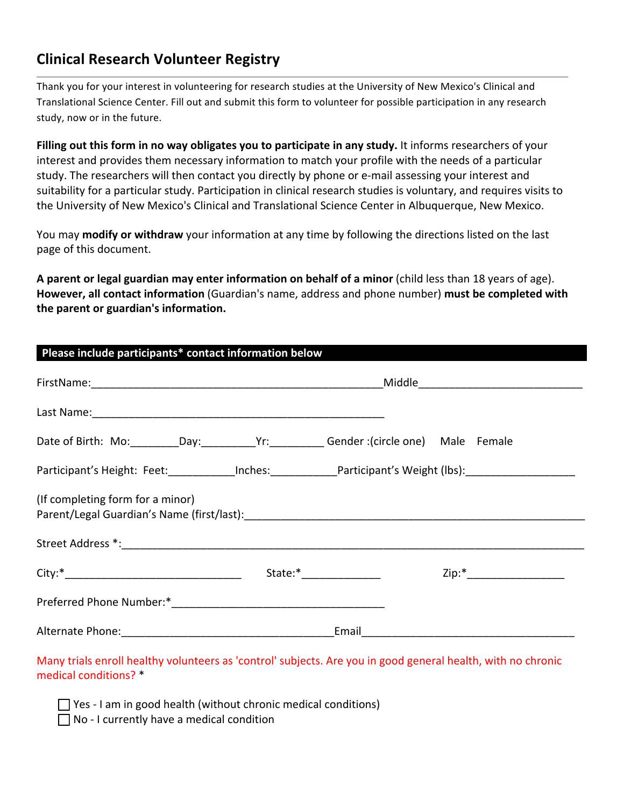# **Clinical Research Volunteer Registry**

Thank you for your interest in volunteering for research studies at the University of New Mexico's Clinical and Translational Science Center. Fill out and submit this form to volunteer for possible participation in any research study, now or in the future.

Filling out this form in no way obligates you to participate in any study. It informs researchers of your interest and provides them necessary information to match your profile with the needs of a particular study. The researchers will then contact you directly by phone or e-mail assessing your interest and suitability for a particular study. Participation in clinical research studies is voluntary, and requires visits to the University of New Mexico's Clinical and Translational Science Center in Albuquerque, New Mexico.

You may modify or withdraw your information at any time by following the directions listed on the last page of this document.

**A** parent or legal guardian may enter information on behalf of a minor (child less than 18 years of age). **However, all contact information** (Guardian's name, address and phone number) **must be completed with** the parent or guardian's information.

| Last Name: 1988 Manual Manual Manual Manual Manual Manual Manual Manual Manual Manual Manual Manual Manual Manual Manual Manual Manual Manual Manual Manual Manual Manual Manual Manual Manual Manual Manual Manual Manual Man |                                                           |  |  |                            |  |
|--------------------------------------------------------------------------------------------------------------------------------------------------------------------------------------------------------------------------------|-----------------------------------------------------------|--|--|----------------------------|--|
| Date of Birth: Mo: _________Day: _______________Yr: Gender :(circle one) Male Female                                                                                                                                           |                                                           |  |  |                            |  |
| Participant's Height: Feet: Inches: Participant's Weight (lbs): Noting the Metal Articipant's Weight (lbs):                                                                                                                    |                                                           |  |  |                            |  |
| (If completing form for a minor)                                                                                                                                                                                               |                                                           |  |  |                            |  |
|                                                                                                                                                                                                                                |                                                           |  |  |                            |  |
|                                                                                                                                                                                                                                |                                                           |  |  | Zip:*_____________________ |  |
|                                                                                                                                                                                                                                |                                                           |  |  |                            |  |
|                                                                                                                                                                                                                                | Alternate Phone: Management Contract and Alternate Phone: |  |  |                            |  |

Many trials enroll healthy volunteers as 'control' subjects. Are you in good general health, with no chronic medical conditions? \*

 $\Box$  Yes - I am in good health (without chronic medical conditions)

 $\Box$  No - I currently have a medical condition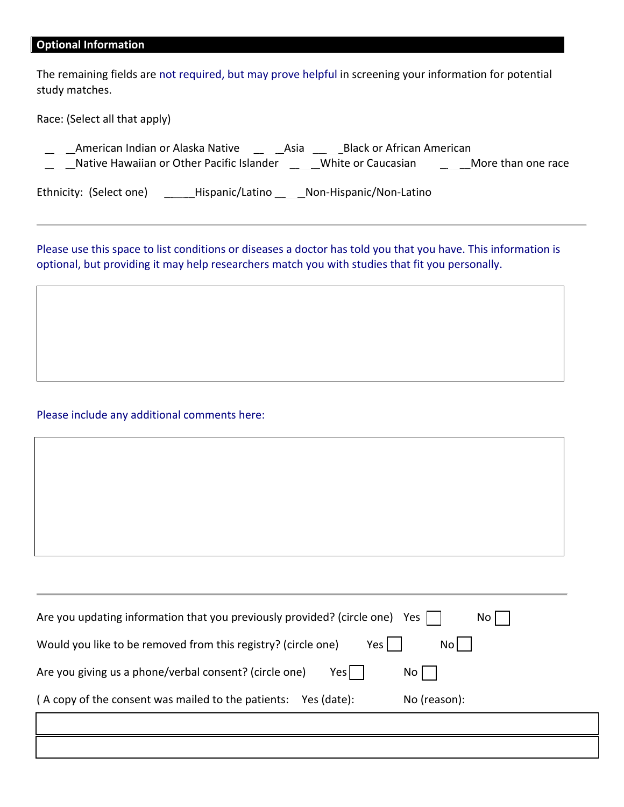## **Optional Information**

The remaining fields are not required, but may prove helpful in screening your information for potential study matches.

Race: (Select all that apply)

|                         | American Indian or Alaska Native          | Asia | <b>Black or African American</b> |                    |
|-------------------------|-------------------------------------------|------|----------------------------------|--------------------|
|                         | Native Hawaiian or Other Pacific Islander |      | White or Caucasian               | More than one race |
| Ethnicity: (Select one) | Hispanic/Latino                           |      | Non-Hispanic/Non-Latino          |                    |

Please use this space to list conditions or diseases a doctor has told you that you have. This information is optional, but providing it may help researchers match you with studies that fit you personally.

#### Please include any additional comments here:

| Are you updating information that you previously provided? (circle one) | Yes  <br>No I |
|-------------------------------------------------------------------------|---------------|
| Yes<br>Would you like to be removed from this registry? (circle one)    | No I          |
| Are you giving us a phone/verbal consent? (circle one)<br>Yesl          | $No$          |
| (A copy of the consent was mailed to the patients:<br>Yes (date):       | No (reason):  |
|                                                                         |               |